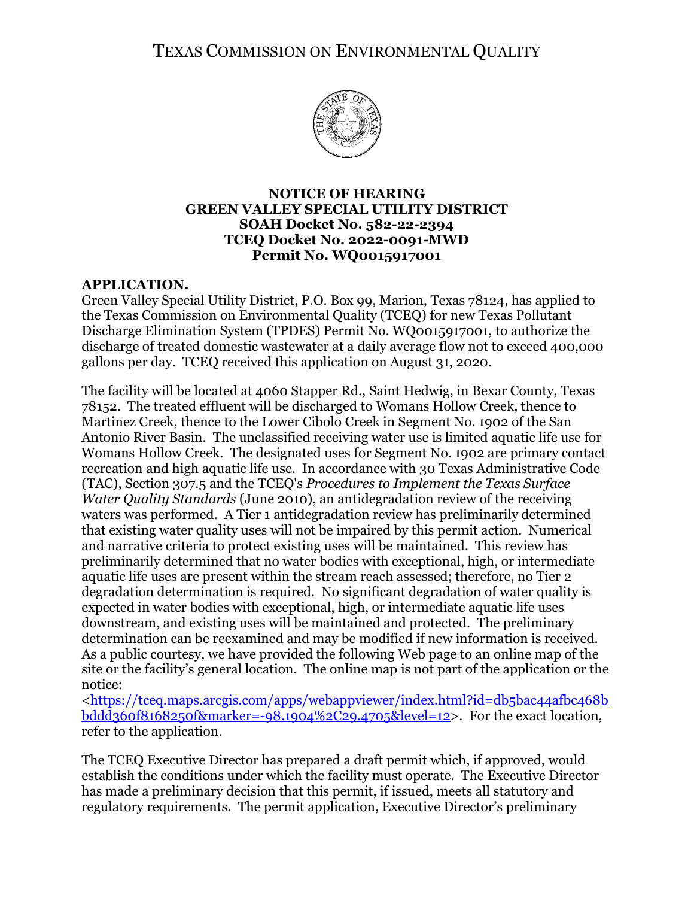TEXAS COMMISSION ON ENVIRONMENTAL QUALITY



## **NOTICE OF HEARING GREEN VALLEY SPECIAL UTILITY DISTRICT SOAH Docket No. 582-22-2394 TCEQ Docket No. 2022-0091-MWD Permit No. WQ0015917001**

# **APPLICATION.**

Green Valley Special Utility District, P.O. Box 99, Marion, Texas 78124, has applied to the Texas Commission on Environmental Quality (TCEQ) for new Texas Pollutant Discharge Elimination System (TPDES) Permit No. WQ0015917001, to authorize the discharge of treated domestic wastewater at a daily average flow not to exceed 400,000 gallons per day. TCEQ received this application on August 31, 2020.

The facility will be located at 4060 Stapper Rd., Saint Hedwig, in Bexar County, Texas 78152. The treated effluent will be discharged to Womans Hollow Creek, thence to Martinez Creek, thence to the Lower Cibolo Creek in Segment No. 1902 of the San Antonio River Basin. The unclassified receiving water use is limited aquatic life use for Womans Hollow Creek. The designated uses for Segment No. 1902 are primary contact recreation and high aquatic life use. In accordance with 30 Texas Administrative Code (TAC), Section 307.5 and the TCEQ's *Procedures to Implement the Texas Surface Water Quality Standards* (June 2010), an antidegradation review of the receiving waters was performed. A Tier 1 antidegradation review has preliminarily determined that existing water quality uses will not be impaired by this permit action. Numerical and narrative criteria to protect existing uses will be maintained. This review has preliminarily determined that no water bodies with exceptional, high, or intermediate aquatic life uses are present within the stream reach assessed; therefore, no Tier 2 degradation determination is required. No significant degradation of water quality is expected in water bodies with exceptional, high, or intermediate aquatic life uses downstream, and existing uses will be maintained and protected. The preliminary determination can be reexamined and may be modified if new information is received. As a public courtesy, we have provided the following Web page to an online map of the site or the facility's general location. The online map is not part of the application or the notice:

[<https://tceq.maps.arcgis.com/apps/webappviewer/index.html?id=db5bac44afbc468b](https://tceq.maps.arcgis.com/apps/webappviewer/index.html?id=db5bac44afbc468bbddd360f8168250f&marker=-98.1904%2C29.4705&level=12) [bddd360f8168250f&marker=-98.1904%2C29.4705&level=12>](https://tceq.maps.arcgis.com/apps/webappviewer/index.html?id=db5bac44afbc468bbddd360f8168250f&marker=-98.1904%2C29.4705&level=12). For the exact location, refer to the application.

The TCEQ Executive Director has prepared a draft permit which, if approved, would establish the conditions under which the facility must operate. The Executive Director has made a preliminary decision that this permit, if issued, meets all statutory and regulatory requirements. The permit application, Executive Director's preliminary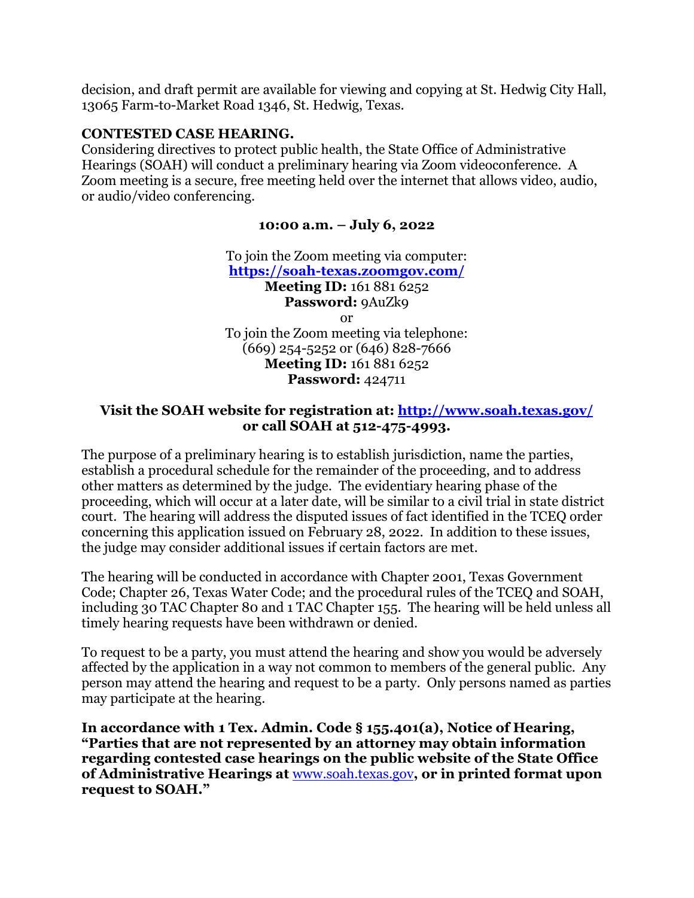decision, and draft permit are available for viewing and copying at St. Hedwig City Hall, 13065 Farm-to-Market Road 1346, St. Hedwig, Texas.

#### **CONTESTED CASE HEARING.**

Considering directives to protect public health, the State Office of Administrative Hearings (SOAH) will conduct a preliminary hearing via Zoom videoconference. A Zoom meeting is a secure, free meeting held over the internet that allows video, audio, or audio/video conferencing.

# **10:00 a.m. – July 6, 2022**

To join the Zoom meeting via computer: **<https://soah-texas.zoomgov.com/> Meeting ID:** 161 881 6252 Password: 9AuZk9 or To join the Zoom meeting via telephone: (669) 254-5252 or (646) 828-7666 **Meeting ID:** 161 881 6252 **Password:** 424711

# **Visit the SOAH website for registration at:<http://www.soah.texas.gov/> or call SOAH at 512-475-4993.**

The purpose of a preliminary hearing is to establish jurisdiction, name the parties, establish a procedural schedule for the remainder of the proceeding, and to address other matters as determined by the judge. The evidentiary hearing phase of the proceeding, which will occur at a later date, will be similar to a civil trial in state district court. The hearing will address the disputed issues of fact identified in the TCEQ order concerning this application issued on February 28, 2022. In addition to these issues, the judge may consider additional issues if certain factors are met.

The hearing will be conducted in accordance with Chapter 2001, Texas Government Code; Chapter 26, Texas Water Code; and the procedural rules of the TCEQ and SOAH, including 30 TAC Chapter 80 and 1 TAC Chapter 155. The hearing will be held unless all timely hearing requests have been withdrawn or denied.

To request to be a party, you must attend the hearing and show you would be adversely affected by the application in a way not common to members of the general public. Any person may attend the hearing and request to be a party. Only persons named as parties may participate at the hearing.

**In accordance with 1 Tex. Admin. Code § 155.401(a), Notice of Hearing, "Parties that are not represented by an attorney may obtain information regarding contested case hearings on the public website of the State Office of Administrative Hearings at** [www.soah.texas.gov](http://www.soah.texas.gov/)**, or in printed format upon request to SOAH."**